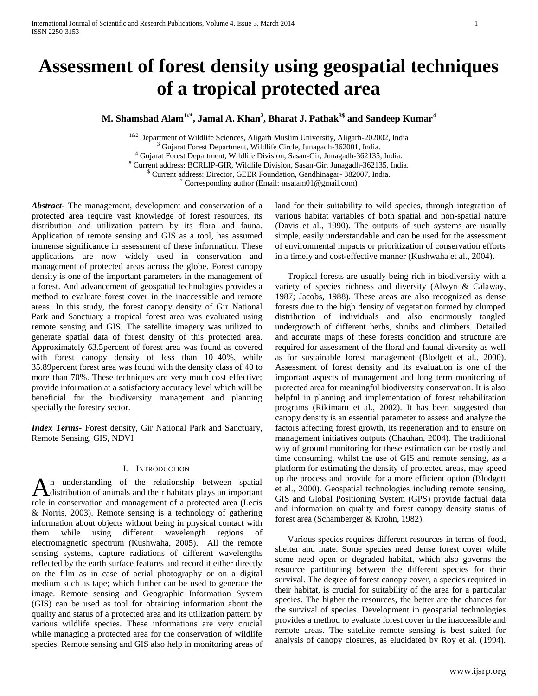# **Assessment of forest density using geospatial techniques of a tropical protected area**

**M. Shamshad Alam1#\*, Jamal A. Khan<sup>2</sup> , Bharat J. Pathak3\$ and Sandeep Kumar<sup>4</sup>**

<sup>1&2</sup> Department of Wildlife Sciences, Aligarh Muslim University, Aligarh-202002, India <sup>3</sup> Gujarat Forest Department, Wildlife Circle, Junagadh-362001, India. <sup>4</sup> Gujarat Forest Department, Wildlife Division, Sasan-Gir, Junagadh-362135, India. # Current address: BCRLIP-GIR, Wildlife Division, Sasan-Gir, Junagadh-362135, India. \$ Current address: Director, GEER Foundation, Gandhinagar- 382007, India. \* Corresponding author (Email: msalam01@gmail.com)

*Abstract***-** The management, development and conservation of a protected area require vast knowledge of forest resources, its distribution and utilization pattern by its flora and fauna. Application of remote sensing and GIS as a tool, has assumed immense significance in assessment of these information. These applications are now widely used in conservation and management of protected areas across the globe. Forest canopy density is one of the important parameters in the management of a forest. And advancement of geospatial technologies provides a method to evaluate forest cover in the inaccessible and remote areas. In this study, the forest canopy density of Gir National Park and Sanctuary a tropical forest area was evaluated using remote sensing and GIS. The satellite imagery was utilized to generate spatial data of forest density of this protected area. Approximately 63.5percent of forest area was found as covered with forest canopy density of less than 10–40%, while 35.89percent forest area was found with the density class of 40 to more than 70%. These techniques are very much cost effective; provide information at a satisfactory accuracy level which will be beneficial for the biodiversity management and planning specially the forestry sector.

*Index Terms*- Forest density, Gir National Park and Sanctuary, Remote Sensing, GIS, NDVI

# I. INTRODUCTION

n understanding of the relationship between spatial An understanding of the relationship between spatial distribution of animals and their habitats plays an important role in conservation and management of a protected area (Lecis & Norris, 2003). Remote sensing is a technology of gathering information about objects without being in physical contact with them while using different wavelength regions of electromagnetic spectrum (Kushwaha, 2005). All the remote sensing systems, capture radiations of different wavelengths reflected by the earth surface features and record it either directly on the film as in case of aerial photography or on a digital medium such as tape; which further can be used to generate the image. Remote sensing and Geographic Information System (GIS) can be used as tool for obtaining information about the quality and status of a protected area and its utilization pattern by various wildlife species. These informations are very crucial while managing a protected area for the conservation of wildlife species. Remote sensing and GIS also help in monitoring areas of

land for their suitability to wild species, through integration of various habitat variables of both spatial and non-spatial nature (Davis et al., 1990). The outputs of such systems are usually simple, easily understandable and can be used for the assessment of environmental impacts or prioritization of conservation efforts in a timely and cost-effective manner (Kushwaha et al., 2004).

Tropical forests are usually being rich in biodiversity with a variety of species richness and diversity (Alwyn & Calaway, 1987; Jacobs, 1988). These areas are also recognized as dense forests due to the high density of vegetation formed by clumped distribution of individuals and also enormously tangled undergrowth of different herbs, shrubs and climbers. Detailed and accurate maps of these forests condition and structure are required for assessment of the floral and faunal diversity as well as for sustainable forest management (Blodgett et al., 2000). Assessment of forest density and its evaluation is one of the important aspects of management and long term monitoring of protected area for meaningful biodiversity conservation. It is also helpful in planning and implementation of forest rehabilitation programs (Rikimaru et al., 2002). It has been suggested that canopy density is an essential parameter to assess and analyze the factors affecting forest growth, its regeneration and to ensure on management initiatives outputs (Chauhan, 2004). The traditional way of ground monitoring for these estimation can be costly and time consuming, whilst the use of GIS and remote sensing, as a platform for estimating the density of protected areas, may speed up the process and provide for a more efficient option (Blodgett et al., 2000). Geospatial technologies including remote sensing, GIS and Global Positioning System (GPS) provide factual data and information on quality and forest canopy density status of forest area (Schamberger & Krohn, 1982).

Various species requires different resources in terms of food, shelter and mate. Some species need dense forest cover while some need open or degraded habitat, which also governs the resource partitioning between the different species for their survival. The degree of forest canopy cover, a species required in their habitat, is crucial for suitability of the area for a particular species. The higher the resources, the better are the chances for the survival of species. Development in geospatial technologies provides a method to evaluate forest cover in the inaccessible and remote areas. The satellite remote sensing is best suited for analysis of canopy closures, as elucidated by Roy et al. (1994).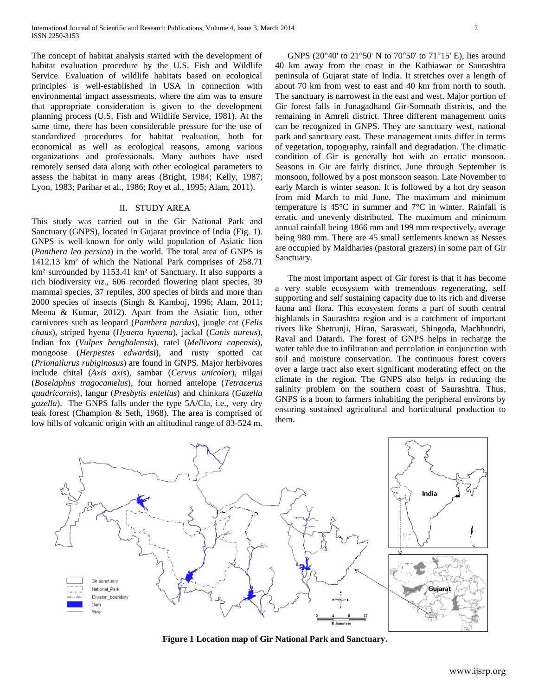The concept of habitat analysis started with the development of habitat evaluation procedure by the U.S. Fish and Wildlife Service. Evaluation of wildlife habitats based on ecological principles is well-established in USA in connection with environmental impact assessments, where the aim was to ensure that appropriate consideration is given to the development planning process (U.S. Fish and Wildlife Service, 1981). At the same time, there has been considerable pressure for the use of standardized procedures for habitat evaluation, both for economical as well as ecological reasons, among various organizations and professionals. Many authors have used remotely sensed data along with other ecological parameters to assess the habitat in many areas (Bright, 1984; Kelly, 1987; Lyon, 1983; Parihar et al., 1986; Roy et al., 1995; Alam, 2011).

# II. STUDY AREA

This study was carried out in the Gir National Park and Sanctuary (GNPS), located in Gujarat province of India (Fig. 1). GNPS is well-known for only wild population of Asiatic lion (*Panthera leo persica*) in the world. The total area of GNPS is 1412.13 km² of which the National Park comprises of 258.71 km² surrounded by 1153.41 km² of Sanctuary. It also supports a rich biodiversity *viz*., 606 recorded flowering plant species, 39 mammal species, 37 reptiles, 300 species of birds and more than 2000 species of insects (Singh & Kamboj, 1996; Alam, 2011; Meena & Kumar, 2012). Apart from the Asiatic lion, other carnivores such as leopard (*Panthera pardus*), jungle cat (*Felis chaus*), striped hyena (*Hyaena hyaena*), jackal (*Canis aureus*), Indian fox (*Vulpes benghalensis*), ratel (*Mellivora capensis*), mongoose (*Herpestes edwar*dsi), and rusty spotted cat (*Prionailurus rubiginosus*) are found in GNPS. Major herbivores include chital (*Axis axis*), sambar (*Cervus unicolor*), nilgai (*Boselaphus tragocamelus*), four horned antelope (*Tetracerus quadricornis*), langur (*Presbytis entellus*) and chinkara (*Gazella gazella*). The GNPS falls under the type 5A/Cla, i.e., very dry teak forest (Champion & Seth, 1968). The area is comprised of low hills of volcanic origin with an altitudinal range of 83-524 m.

GNPS (20°40' to 21°50' N to 70°50' to 71°15' E), lies around 40 km away from the coast in the Kathiawar or Saurashtra peninsula of Gujarat state of India. It stretches over a length of about 70 km from west to east and 40 km from north to south. The sanctuary is narrowest in the east and west. Major portion of Gir forest falls in Junagadhand Gir-Somnath districts, and the remaining in Amreli district. Three different management units can be recognized in GNPS. They are sanctuary west, national park and sanctuary east. These management units differ in terms of vegetation, topography, rainfall and degradation. The climatic condition of Gir is generally hot with an erratic monsoon. Seasons in Gir are fairly distinct. June through September is monsoon, followed by a post monsoon season. Late November to early March is winter season. It is followed by a hot dry season from mid March to mid June. The maximum and minimum temperature is 45°C in summer and 7°C in winter. Rainfall is erratic and unevenly distributed. The maximum and minimum annual rainfall being 1866 mm and 199 mm respectively, average being 980 mm. There are 45 small settlements known as Nesses are occupied by Maldharies (pastoral grazers) in some part of Gir Sanctuary.

The most important aspect of Gir forest is that it has become a very stable ecosystem with tremendous regenerating, self supporting and self sustaining capacity due to its rich and diverse fauna and flora. This ecosystem forms a part of south central highlands in Saurashtra region and is a catchment of important rivers like Shetrunji, Hiran, Saraswati, Shingoda, Machhundri, Raval and Datardi. The forest of GNPS helps in recharge the water table due to infiltration and percolation in conjunction with soil and moisture conservation. The continuous forest covers over a large tract also exert significant moderating effect on the climate in the region. The GNPS also helps in reducing the salinity problem on the southern coast of Saurashtra. Thus, GNPS is a boon to farmers inhabiting the peripheral environs by ensuring sustained agricultural and horticultural production to them.



**Figure 1 Location map of Gir National Park and Sanctuary.**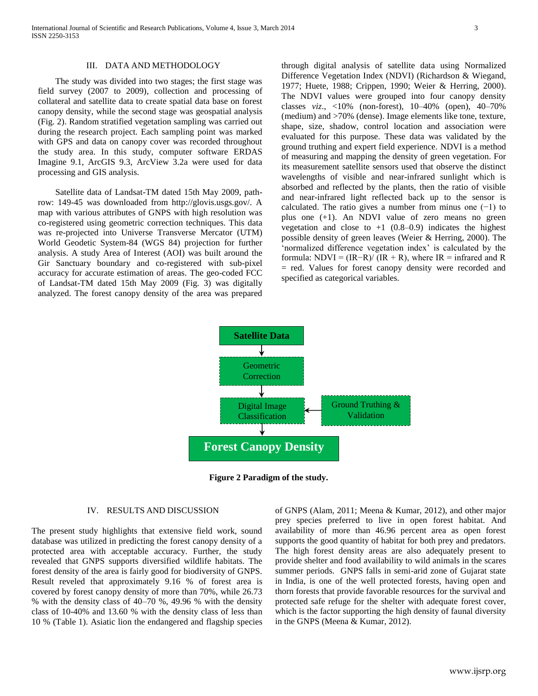International Journal of Scientific and Research Publications, Volume 4, Issue 3, March 2014 3 ISSN 2250-3153

# III. DATA AND METHODOLOGY

The study was divided into two stages; the first stage was field survey (2007 to 2009), collection and processing of collateral and satellite data to create spatial data base on forest canopy density, while the second stage was geospatial analysis (Fig. 2). Random stratified vegetation sampling was carried out during the research project. Each sampling point was marked with GPS and data on canopy cover was recorded throughout the study area. In this study, computer software ERDAS Imagine 9.1, ArcGIS 9.3, ArcView 3.2a were used for data processing and GIS analysis.

Satellite data of Landsat-TM dated 15th May 2009, pathrow: 149-45 was downloaded from http://glovis.usgs.gov/. A map with various attributes of GNPS with high resolution was co-registered using geometric correction techniques. This data was re-projected into Universe Transverse Mercator (UTM) World Geodetic System-84 (WGS 84) projection for further analysis. A study Area of Interest (AOI) was built around the Gir Sanctuary boundary and co-registered with sub-pixel accuracy for accurate estimation of areas. The geo-coded FCC of Landsat-TM dated 15th May 2009 (Fig. 3) was digitally analyzed. The forest canopy density of the area was prepared

through digital analysis of satellite data using Normalized Difference Vegetation Index (NDVI) (Richardson & Wiegand, 1977; Huete, 1988; Crippen, 1990; Weier & Herring, 2000). The NDVI values were grouped into four canopy density classes *viz*., <10% (non-forest), 10–40% (open), 40–70% (medium) and >70% (dense). Image elements like tone, texture, shape, size, shadow, control location and association were evaluated for this purpose. These data was validated by the ground truthing and expert field experience. NDVI is a method of measuring and mapping the density of green vegetation. For its measurement satellite sensors used that observe the distinct wavelengths of visible and near-infrared sunlight which is absorbed and reflected by the plants, then the ratio of visible and near-infrared light reflected back up to the sensor is calculated. The ratio gives a number from minus one (−1) to plus one (+1). An NDVI value of zero means no green vegetation and close to  $+1$  (0.8–0.9) indicates the highest possible density of green leaves (Weier & Herring, 2000). The 'normalized difference vegetation index' is calculated by the formula: NDVI =  $(IR-R)/(IR + R)$ , where IR = infrared and R = red. Values for forest canopy density were recorded and specified as categorical variables.



**Figure 2 Paradigm of the study.**

### IV. RESULTS AND DISCUSSION

The present study highlights that extensive field work, sound database was utilized in predicting the forest canopy density of a protected area with acceptable accuracy. Further, the study revealed that GNPS supports diversified wildlife habitats. The forest density of the area is fairly good for biodiversity of GNPS. Result reveled that approximately 9.16 % of forest area is covered by forest canopy density of more than 70%, while 26.73 % with the density class of 40–70 %, 49.96 % with the density class of 10-40% and 13.60 % with the density class of less than 10 % (Table 1). Asiatic lion the endangered and flagship species

of GNPS (Alam, 2011; Meena & Kumar, 2012), and other major prey species preferred to live in open forest habitat. And availability of more than 46.96 percent area as open forest supports the good quantity of habitat for both prey and predators. The high forest density areas are also adequately present to provide shelter and food availability to wild animals in the scares summer periods. GNPS falls in semi-arid zone of Gujarat state in India, is one of the well protected forests, having open and thorn forests that provide favorable resources for the survival and protected safe refuge for the shelter with adequate forest cover, which is the factor supporting the high density of faunal diversity in the GNPS (Meena & Kumar, 2012).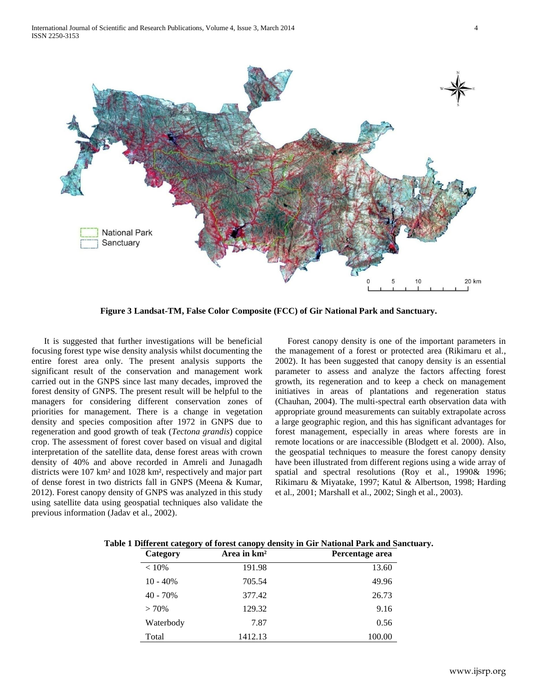

**Figure 3 Landsat-TM, False Color Composite (FCC) of Gir National Park and Sanctuary.**

It is suggested that further investigations will be beneficial focusing forest type wise density analysis whilst documenting the entire forest area only. The present analysis supports the significant result of the conservation and management work carried out in the GNPS since last many decades, improved the forest density of GNPS. The present result will be helpful to the managers for considering different conservation zones of priorities for management. There is a change in vegetation density and species composition after 1972 in GNPS due to regeneration and good growth of teak (*Tectona grandis*) coppice crop. The assessment of forest cover based on visual and digital interpretation of the satellite data, dense forest areas with crown density of 40% and above recorded in Amreli and Junagadh districts were 107 km² and 1028 km², respectively and major part of dense forest in two districts fall in GNPS (Meena & Kumar, 2012). Forest canopy density of GNPS was analyzed in this study using satellite data using geospatial techniques also validate the previous information (Jadav et al., 2002).

Forest canopy density is one of the important parameters in the management of a forest or protected area (Rikimaru et al., 2002). It has been suggested that canopy density is an essential parameter to assess and analyze the factors affecting forest growth, its regeneration and to keep a check on management initiatives in areas of plantations and regeneration status (Chauhan, 2004). The multi-spectral earth observation data with appropriate ground measurements can suitably extrapolate across a large geographic region, and this has significant advantages for forest management, especially in areas where forests are in remote locations or are inaccessible (Blodgett et al. 2000). Also, the geospatial techniques to measure the forest canopy density have been illustrated from different regions using a wide array of spatial and spectral resolutions (Roy et al., 1990& 1996; Rikimaru & Miyatake, 1997; Katul & Albertson, 1998; Harding et al., 2001; Marshall et al., 2002; Singh et al., 2003).

| Category   | Area in $km2$ | Percentage area |
|------------|---------------|-----------------|
| $< 10\%$   | 191.98        | 13.60           |
| $10 - 40%$ | 705.54        | 49.96           |
| $40 - 70%$ | 377.42        | 26.73           |
| $> 70\%$   | 129.32        | 9.16            |
| Waterbody  | 7.87          | 0.56            |
| Total      | 1412.13       | 100.00          |

**Table 1 Different category of forest canopy density in Gir National Park and Sanctuary.**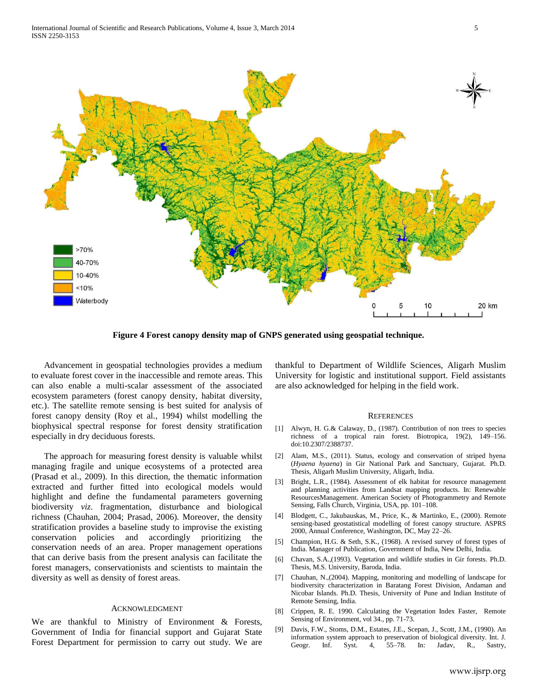

**Figure 4 Forest canopy density map of GNPS generated using geospatial technique.**

Advancement in geospatial technologies provides a medium to evaluate forest cover in the inaccessible and remote areas. This can also enable a multi-scalar assessment of the associated ecosystem parameters (forest canopy density, habitat diversity, etc.). The satellite remote sensing is best suited for analysis of forest canopy density (Roy et al., 1994) whilst modelling the biophysical spectral response for forest density stratification especially in dry deciduous forests.

The approach for measuring forest density is valuable whilst managing fragile and unique ecosystems of a protected area (Prasad et al., 2009). In this direction, the thematic information extracted and further fitted into ecological models would highlight and define the fundamental parameters governing biodiversity *viz*. fragmentation, disturbance and biological richness (Chauhan, 2004; Prasad, 2006). Moreover, the density stratification provides a baseline study to improvise the existing conservation policies and accordingly prioritizing the conservation needs of an area. Proper management operations that can derive basis from the present analysis can facilitate the forest managers, conservationists and scientists to maintain the diversity as well as density of forest areas.

## ACKNOWLEDGMENT

We are thankful to Ministry of Environment & Forests, Government of India for financial support and Gujarat State Forest Department for permission to carry out study. We are

thankful to Department of Wildlife Sciences, Aligarh Muslim University for logistic and institutional support. Field assistants are also acknowledged for helping in the field work.

#### **REFERENCES**

- [1] Alwyn, H. G.& Calaway, D., (1987). Contribution of non trees to species richness of a tropical rain forest. Biotropica, 19(2), 149–156. doi:10.2307/2388737.
- [2] Alam, M.S., (2011). Status, ecology and conservation of striped hyena (*Hyaena hyaena*) in Gir National Park and Sanctuary, Gujarat. Ph.D. Thesis, Aligarh Muslim University, Aligarh, India.
- [3] Bright, L.R., (1984). Assessment of elk habitat for resource management and planning activities from Landsat mapping products. In: Renewable ResourcesManagement. American Society of Photogrammetry and Remote Sensing, Falls Church, Virginia, USA, pp. 101–108.
- [4] Blodgett, C., Jakubauskas, M., Price, K., & Martinko, E., (2000). Remote sensing-based geostatistical modelling of forest canopy structure. ASPRS 2000, Annual Conference, Washington, DC, May 22–26.
- [5] Champion, H.G. & Seth, S.K., (1968). A revised survey of forest types of India. Manager of Publication, Government of India, New Delhi, India.
- [6] Chavan, S.A.,(1993). Vegetation and wildlife studies in Gir forests. Ph.D. Thesis, M.S. University, Baroda, India.
- [7] Chauhan, N.,(2004). Mapping, monitoring and modelling of landscape for biodiversity characterization in Baratang Forest Division, Andaman and Nicobar Islands. Ph.D. Thesis, University of Pune and Indian Institute of Remote Sensing, India.
- [8] Crippen, R. E. 1990. Calculating the Vegetation Index Faster, Remote Sensing of Environment, vol 34., pp. 71-73.
- [9] Davis, F.W., Stoms, D.M., Estates, J.E., Scepan, J., Scott, J.M., (1990). An information system approach to preservation of biological diversity. Int. J. Geogr. Inf. Syst. 4, 55–78. In: Jadav, R., Sastry,